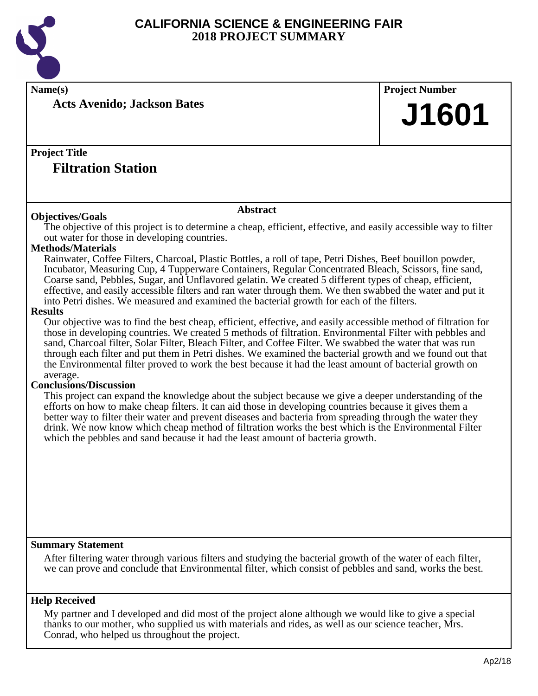

**Name(s) Project Number**

**Acts Avenido; Jackson Bates**

### **Project Title**

### **Filtration Station**

#### **Objectives/Goals**

**Abstract**

The objective of this project is to determine a cheap, efficient, effective, and easily accessible way to filter out water for those in developing countries.

#### **Methods/Materials**

Rainwater, Coffee Filters, Charcoal, Plastic Bottles, a roll of tape, Petri Dishes, Beef bouillon powder, Incubator, Measuring Cup, 4 Tupperware Containers, Regular Concentrated Bleach, Scissors, fine sand, Coarse sand, Pebbles, Sugar, and Unflavored gelatin. We created 5 different types of cheap, efficient, effective, and easily accessible filters and ran water through them. We then swabbed the water and put it into Petri dishes. We measured and examined the bacterial growth for each of the filters.

#### **Results**

Our objective was to find the best cheap, efficient, effective, and easily accessible method of filtration for those in developing countries. We created 5 methods of filtration. Environmental Filter with pebbles and sand, Charcoal filter, Solar Filter, Bleach Filter, and Coffee Filter. We swabbed the water that was run through each filter and put them in Petri dishes. We examined the bacterial growth and we found out that the Environmental filter proved to work the best because it had the least amount of bacterial growth on average.

#### **Conclusions/Discussion**

This project can expand the knowledge about the subject because we give a deeper understanding of the efforts on how to make cheap filters. It can aid those in developing countries because it gives them a better way to filter their water and prevent diseases and bacteria from spreading through the water they drink. We now know which cheap method of filtration works the best which is the Environmental Filter which the pebbles and sand because it had the least amount of bacteria growth.

#### **Summary Statement**

After filtering water through various filters and studying the bacterial growth of the water of each filter, we can prove and conclude that Environmental filter, which consist of pebbles and sand, works the best.

#### **Help Received**

My partner and I developed and did most of the project alone although we would like to give a special thanks to our mother, who supplied us with materials and rides, as well as our science teacher, Mrs. Conrad, who helped us throughout the project.

**J1601**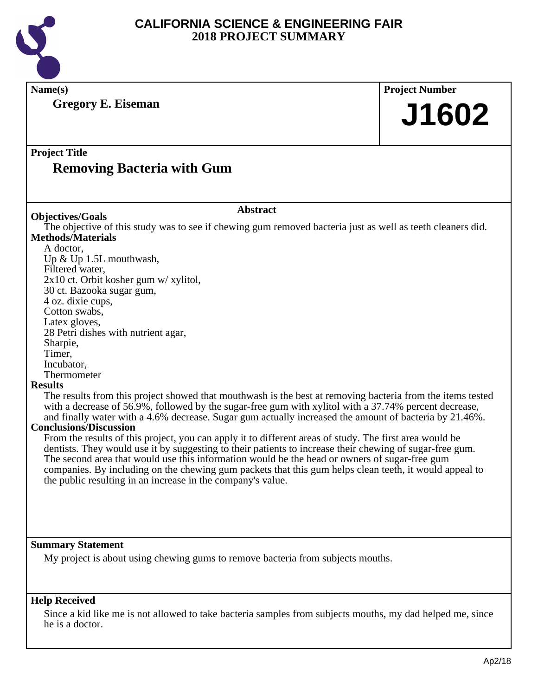

**Name(s) Project Number Project Title Abstract Summary Statement Gregory E. Eiseman Removing Bacteria with Gum J1602 Objectives/Goals** The objective of this study was to see if chewing gum removed bacteria just as well as teeth cleaners did. **Methods/Materials** A doctor, Up & Up 1.5L mouthwash, Filtered water, 2x10 ct. Orbit kosher gum w/ xylitol, 30 ct. Bazooka sugar gum, 4 oz. dixie cups, Cotton swabs, Latex gloves, 28 Petri dishes with nutrient agar, Sharpie, Timer, Incubator, Thermometer **Results** The results from this project showed that mouthwash is the best at removing bacteria from the items tested with a decrease of 56.9%, followed by the sugar-free gum with xylitol with a 37.74% percent decrease, and finally water with a 4.6% decrease. Sugar gum actually increased the amount of bacteria by 21.46%. **Conclusions/Discussion** From the results of this project, you can apply it to different areas of study. The first area would be dentists. They would use it by suggesting to their patients to increase their chewing of sugar-free gum. The second area that would use this information would be the head or owners of sugar-free gum companies. By including on the chewing gum packets that this gum helps clean teeth, it would appeal to the public resulting in an increase in the company's value. My project is about using chewing gums to remove bacteria from subjects mouths.

#### **Help Received**

Since a kid like me is not allowed to take bacteria samples from subjects mouths, my dad helped me, since he is a doctor.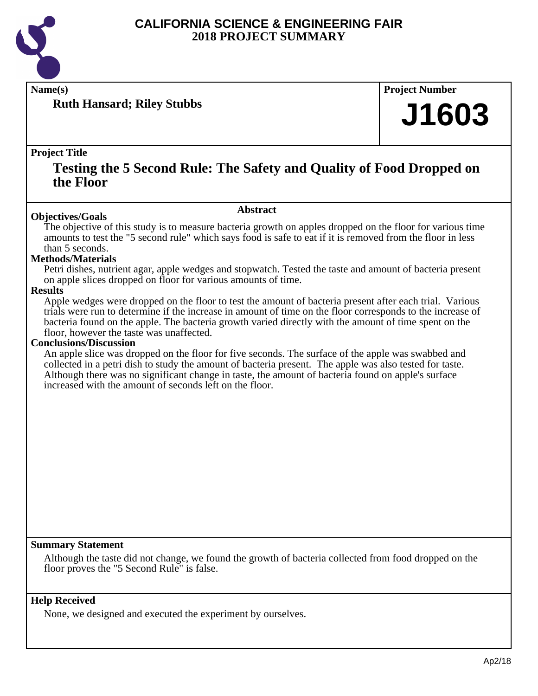

**Ruth Hansard; Riley Stubbs**

**Name(s) Project Number**

## **J1603**

#### **Project Title**

### **Testing the 5 Second Rule: The Safety and Quality of Food Dropped on the Floor**

#### **Abstract**

The objective of this study is to measure bacteria growth on apples dropped on the floor for various time amounts to test the "5 second rule" which says food is safe to eat if it is removed from the floor in less than 5 seconds.

#### **Methods/Materials**

**Objectives/Goals**

Petri dishes, nutrient agar, apple wedges and stopwatch. Tested the taste and amount of bacteria present on apple slices dropped on floor for various amounts of time.

#### **Results**

Apple wedges were dropped on the floor to test the amount of bacteria present after each trial. Various trials were run to determine if the increase in amount of time on the floor corresponds to the increase of bacteria found on the apple. The bacteria growth varied directly with the amount of time spent on the floor, however the taste was unaffected.

#### **Conclusions/Discussion**

An apple slice was dropped on the floor for five seconds. The surface of the apple was swabbed and collected in a petri dish to study the amount of bacteria present. The apple was also tested for taste. Although there was no significant change in taste, the amount of bacteria found on apple's surface increased with the amount of seconds left on the floor.

#### **Summary Statement**

Although the taste did not change, we found the growth of bacteria collected from food dropped on the floor proves the "5 Second Rule" is false.

#### **Help Received**

None, we designed and executed the experiment by ourselves.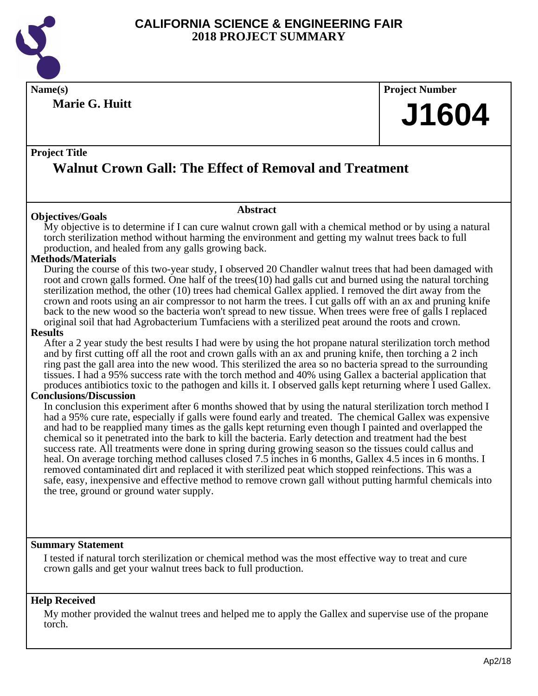

**Marie G. Huitt**

## **Name(s) Project Number J1604**

#### **Project Title**

## **Walnut Crown Gall: The Effect of Removal and Treatment**

#### **Objectives/Goals**

My objective is to determine if I can cure walnut crown gall with a chemical method or by using a natural torch sterilization method without harming the environment and getting my walnut trees back to full production, and healed from any galls growing back.

**Abstract**

#### **Methods/Materials**

During the course of this two-year study, I observed 20 Chandler walnut trees that had been damaged with root and crown galls formed. One half of the trees(10) had galls cut and burned using the natural torching sterilization method, the other (10) trees had chemical Gallex applied. I removed the dirt away from the crown and roots using an air compressor to not harm the trees. I cut galls off with an ax and pruning knife back to the new wood so the bacteria won't spread to new tissue. When trees were free of galls I replaced original soil that had Agrobacterium Tumfaciens with a sterilized peat around the roots and crown.

#### **Results**

After a 2 year study the best results I had were by using the hot propane natural sterilization torch method and by first cutting off all the root and crown galls with an ax and pruning knife, then torching a 2 inch ring past the gall area into the new wood. This sterilized the area so no bacteria spread to the surrounding tissues. I had a 95% success rate with the torch method and 40% using Gallex a bacterial application that produces antibiotics toxic to the pathogen and kills it. I observed galls kept returning where I used Gallex.

#### **Conclusions/Discussion**

In conclusion this experiment after 6 months showed that by using the natural sterilization torch method I had a 95% cure rate, especially if galls were found early and treated. The chemical Gallex was expensive and had to be reapplied many times as the galls kept returning even though I painted and overlapped the chemical so it penetrated into the bark to kill the bacteria. Early detection and treatment had the best success rate. All treatments were done in spring during growing season so the tissues could callus and heal. On average torching method calluses closed 7.5 inches in 6 months, Gallex 4.5 inces in 6 months. I removed contaminated dirt and replaced it with sterilized peat which stopped reinfections. This was a safe, easy, inexpensive and effective method to remove crown gall without putting harmful chemicals into the tree, ground or ground water supply.

#### **Summary Statement**

I tested if natural torch sterilization or chemical method was the most effective way to treat and cure crown galls and get your walnut trees back to full production.

#### **Help Received**

My mother provided the walnut trees and helped me to apply the Gallex and supervise use of the propane torch.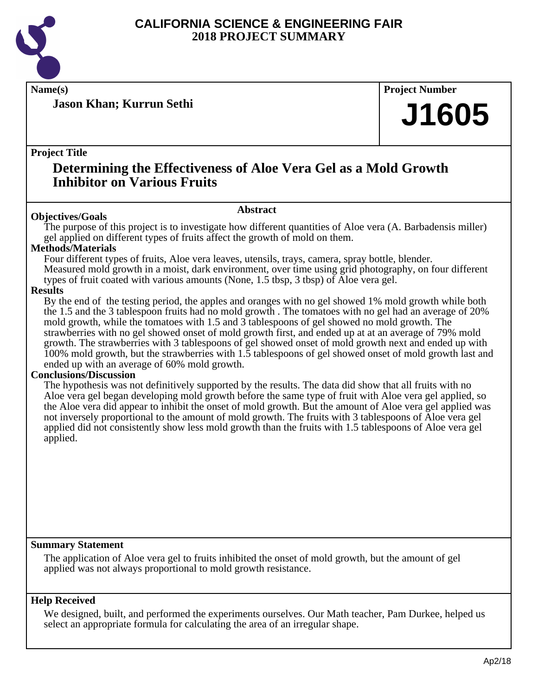

**Jason Khan; Kurrun Sethi**

**Name(s) Project Number**

## **J1605**

#### **Project Title**

## **Determining the Effectiveness of Aloe Vera Gel as a Mold Growth Inhibitor on Various Fruits**

#### **Abstract**

**Objectives/Goals** The purpose of this project is to investigate how different quantities of Aloe vera (A. Barbadensis miller) gel applied on different types of fruits affect the growth of mold on them.

#### **Methods/Materials**

Four different types of fruits, Aloe vera leaves, utensils, trays, camera, spray bottle, blender. Measured mold growth in a moist, dark environment, over time using grid photography, on four different types of fruit coated with various amounts (None, 1.5 tbsp, 3 tbsp) of Aloe vera gel.

#### **Results**

By the end of the testing period, the apples and oranges with no gel showed 1% mold growth while both the 1.5 and the 3 tablespoon fruits had no mold growth . The tomatoes with no gel had an average of 20% mold growth, while the tomatoes with 1.5 and 3 tablespoons of gel showed no mold growth. The strawberries with no gel showed onset of mold growth first, and ended up at at an average of 79% mold growth. The strawberries with 3 tablespoons of gel showed onset of mold growth next and ended up with 100% mold growth, but the strawberries with 1.5 tablespoons of gel showed onset of mold growth last and ended up with an average of 60% mold growth.

#### **Conclusions/Discussion**

The hypothesis was not definitively supported by the results. The data did show that all fruits with no Aloe vera gel began developing mold growth before the same type of fruit with Aloe vera gel applied, so the Aloe vera did appear to inhibit the onset of mold growth. But the amount of Aloe vera gel applied was not inversely proportional to the amount of mold growth. The fruits with 3 tablespoons of Aloe vera gel applied did not consistently show less mold growth than the fruits with 1.5 tablespoons of Aloe vera gel applied.

#### **Summary Statement**

The application of Aloe vera gel to fruits inhibited the onset of mold growth, but the amount of gel applied was not always proportional to mold growth resistance.

#### **Help Received**

We designed, built, and performed the experiments ourselves. Our Math teacher, Pam Durkee, helped us select an appropriate formula for calculating the area of an irregular shape.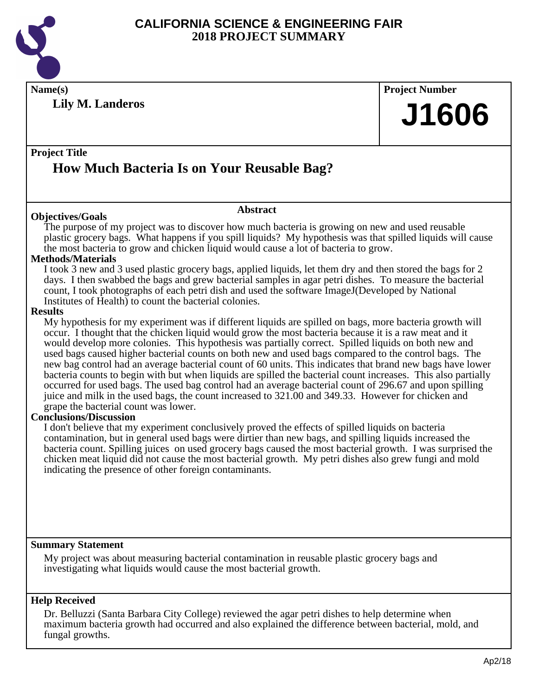

**Name(s) Project Number Lily M. Landeros**

**J1606**

#### **Project Title**

## **How Much Bacteria Is on Your Reusable Bag?**

#### **Objectives/Goals**

The purpose of my project was to discover how much bacteria is growing on new and used reusable plastic grocery bags. What happens if you spill liquids? My hypothesis was that spilled liquids will cause the most bacteria to grow and chicken liquid would cause a lot of bacteria to grow.

**Abstract**

#### **Methods/Materials**

I took 3 new and 3 used plastic grocery bags, applied liquids, let them dry and then stored the bags for 2 days. I then swabbed the bags and grew bacterial samples in agar petri dishes. To measure the bacterial count, I took photographs of each petri dish and used the software ImageJ(Developed by National Institutes of Health) to count the bacterial colonies.

#### **Results**

My hypothesis for my experiment was if different liquids are spilled on bags, more bacteria growth will occur. I thought that the chicken liquid would grow the most bacteria because it is a raw meat and it would develop more colonies. This hypothesis was partially correct. Spilled liquids on both new and used bags caused higher bacterial counts on both new and used bags compared to the control bags. The new bag control had an average bacterial count of 60 units. This indicates that brand new bags have lower bacteria counts to begin with but when liquids are spilled the bacterial count increases. This also partially occurred for used bags. The used bag control had an average bacterial count of 296.67 and upon spilling juice and milk in the used bags, the count increased to 321.00 and 349.33. However for chicken and grape the bacterial count was lower.

#### **Conclusions/Discussion**

I don't believe that my experiment conclusively proved the effects of spilled liquids on bacteria contamination, but in general used bags were dirtier than new bags, and spilling liquids increased the bacteria count. Spilling juices on used grocery bags caused the most bacterial growth. I was surprised the chicken meat liquid did not cause the most bacterial growth. My petri dishes also grew fungi and mold indicating the presence of other foreign contaminants.

#### **Summary Statement**

My project was about measuring bacterial contamination in reusable plastic grocery bags and investigating what liquids would cause the most bacterial growth.

#### **Help Received**

Dr. Belluzzi (Santa Barbara City College) reviewed the agar petri dishes to help determine when maximum bacteria growth had occurred and also explained the difference between bacterial, mold, and fungal growths.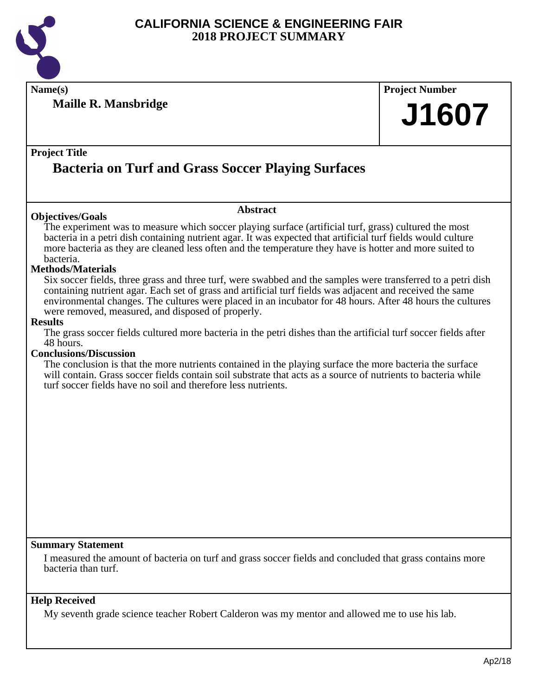

**Maille R. Mansbridge**

**Name(s) Project Number J1607**

#### **Project Title**

## **Bacteria on Turf and Grass Soccer Playing Surfaces**

#### **Objectives/Goals**

**Abstract**

The experiment was to measure which soccer playing surface (artificial turf, grass) cultured the most bacteria in a petri dish containing nutrient agar. It was expected that artificial turf fields would culture more bacteria as they are cleaned less often and the temperature they have is hotter and more suited to bacteria.

#### **Methods/Materials**

Six soccer fields, three grass and three turf, were swabbed and the samples were transferred to a petri dish containing nutrient agar. Each set of grass and artificial turf fields was adjacent and received the same environmental changes. The cultures were placed in an incubator for 48 hours. After 48 hours the cultures were removed, measured, and disposed of properly.

#### **Results**

The grass soccer fields cultured more bacteria in the petri dishes than the artificial turf soccer fields after 48 hours.

#### **Conclusions/Discussion**

The conclusion is that the more nutrients contained in the playing surface the more bacteria the surface will contain. Grass soccer fields contain soil substrate that acts as a source of nutrients to bacteria while turf soccer fields have no soil and therefore less nutrients.

#### **Summary Statement**

I measured the amount of bacteria on turf and grass soccer fields and concluded that grass contains more bacteria than turf.

#### **Help Received**

My seventh grade science teacher Robert Calderon was my mentor and allowed me to use his lab.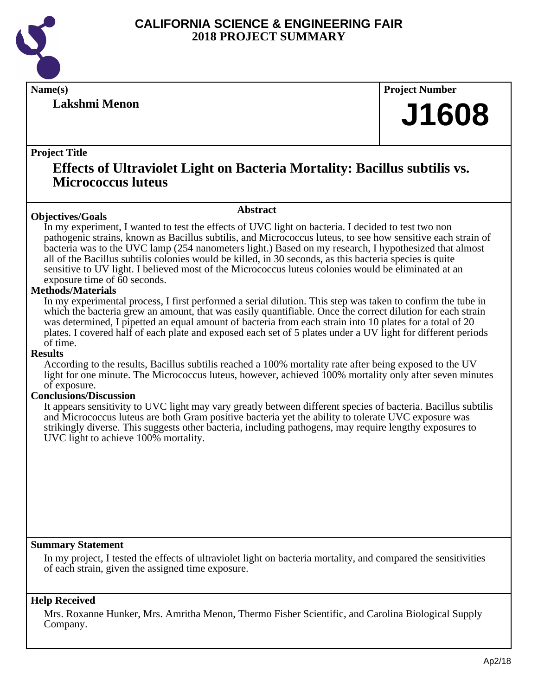

**Lakshmi Menon**

**Name(s) Project Number**

## **J1608**

#### **Project Title**

### **Effects of Ultraviolet Light on Bacteria Mortality: Bacillus subtilis vs. Micrococcus luteus**

#### **Abstract**

**Objectives/Goals** In my experiment, I wanted to test the effects of UVC light on bacteria. I decided to test two non pathogenic strains, known as Bacillus subtilis, and Micrococcus luteus, to see how sensitive each strain of bacteria was to the UVC lamp (254 nanometers light.) Based on my research, I hypothesized that almost all of the Bacillus subtilis colonies would be killed, in 30 seconds, as this bacteria species is quite sensitive to UV light. I believed most of the Micrococcus luteus colonies would be eliminated at an exposure time of 60 seconds.

#### **Methods/Materials**

In my experimental process, I first performed a serial dilution. This step was taken to confirm the tube in which the bacteria grew an amount, that was easily quantifiable. Once the correct dilution for each strain was determined, I pipetted an equal amount of bacteria from each strain into 10 plates for a total of 20 plates. I covered half of each plate and exposed each set of 5 plates under a UV light for different periods of time.

#### **Results**

According to the results, Bacillus subtilis reached a 100% mortality rate after being exposed to the UV light for one minute. The Micrococcus luteus, however, achieved 100% mortality only after seven minutes of exposure.

#### **Conclusions/Discussion**

It appears sensitivity to UVC light may vary greatly between different species of bacteria. Bacillus subtilis and Micrococcus luteus are both Gram positive bacteria yet the ability to tolerate UVC exposure was strikingly diverse. This suggests other bacteria, including pathogens, may require lengthy exposures to UVC light to achieve 100% mortality.

#### **Summary Statement**

In my project, I tested the effects of ultraviolet light on bacteria mortality, and compared the sensitivities of each strain, given the assigned time exposure.

#### **Help Received**

Mrs. Roxanne Hunker, Mrs. Amritha Menon, Thermo Fisher Scientific, and Carolina Biological Supply Company.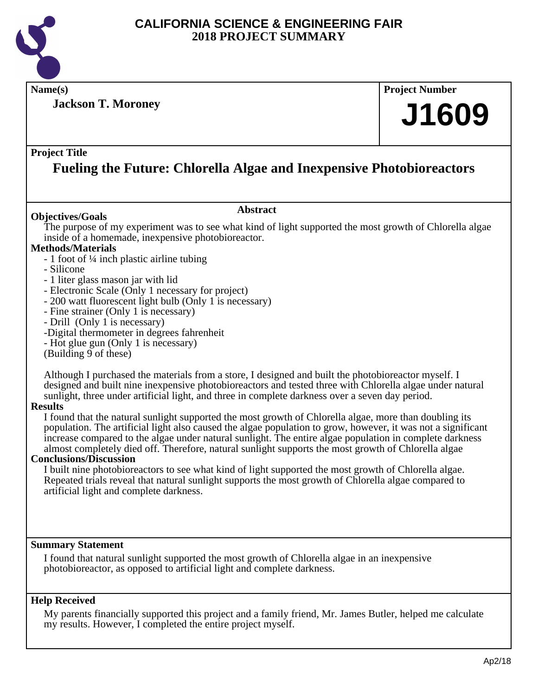

**Name(s) Project Number**

**Jackson T. Moroney**

# **J1609**

#### **Project Title**

## **Fueling the Future: Chlorella Algae and Inexpensive Photobioreactors**

#### **Abstract**

The purpose of my experiment was to see what kind of light supported the most growth of Chlorella algae inside of a homemade, inexpensive photobioreactor.

#### **Methods/Materials**

**Objectives/Goals**

- 1 foot of ¼ inch plastic airline tubing
- Silicone
- 1 liter glass mason jar with lid
- Electronic Scale (Only 1 necessary for project)
- 200 watt fluorescent light bulb (Only 1 is necessary)
- Fine strainer (Only 1 is necessary)
- Drill (Only 1 is necessary)
- -Digital thermometer in degrees fahrenheit
- Hot glue gun (Only 1 is necessary)
- (Building 9 of these)

Although I purchased the materials from a store, I designed and built the photobioreactor myself. I designed and built nine inexpensive photobioreactors and tested three with Chlorella algae under natural sunlight, three under artificial light, and three in complete darkness over a seven day period.

#### **Results**

I found that the natural sunlight supported the most growth of Chlorella algae, more than doubling its population. The artificial light also caused the algae population to grow, however, it was not a significant increase compared to the algae under natural sunlight. The entire algae population in complete darkness almost completely died off. Therefore, natural sunlight supports the most growth of Chlorella algae

#### **Conclusions/Discussion**

I built nine photobioreactors to see what kind of light supported the most growth of Chlorella algae. Repeated trials reveal that natural sunlight supports the most growth of Chlorella algae compared to artificial light and complete darkness.

#### **Summary Statement**

I found that natural sunlight supported the most growth of Chlorella algae in an inexpensive photobioreactor, as opposed to artificial light and complete darkness.

#### **Help Received**

My parents financially supported this project and a family friend, Mr. James Butler, helped me calculate my results. However, I completed the entire project myself.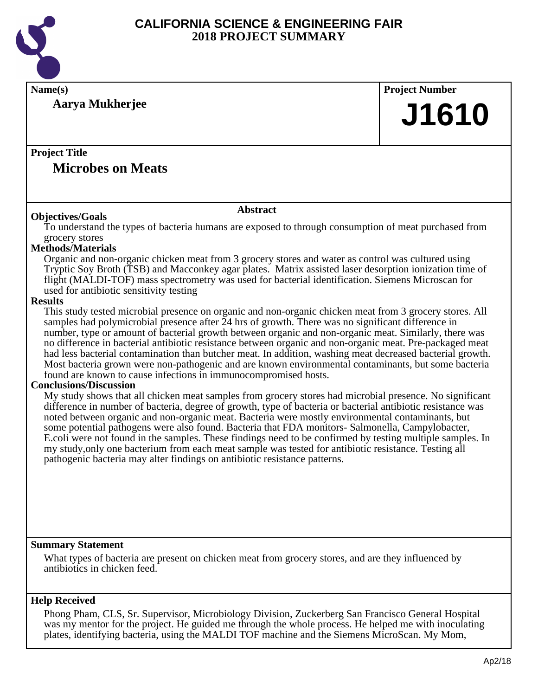

| Name(s)                                                                                                                                                                                                       | <b>Project Number</b> |
|---------------------------------------------------------------------------------------------------------------------------------------------------------------------------------------------------------------|-----------------------|
| Aarya Mukherjee                                                                                                                                                                                               |                       |
|                                                                                                                                                                                                               | J1610                 |
|                                                                                                                                                                                                               |                       |
| <b>Project Title</b>                                                                                                                                                                                          |                       |
| <b>Microbes on Meats</b>                                                                                                                                                                                      |                       |
|                                                                                                                                                                                                               |                       |
| <b>Abstract</b>                                                                                                                                                                                               |                       |
| <b>Objectives/Goals</b><br>To understand the types of bacteria humans are exposed to through consumption of meat purchased from                                                                               |                       |
| grocery stores                                                                                                                                                                                                |                       |
| <b>Methods/Materials</b>                                                                                                                                                                                      |                       |
| Organic and non-organic chicken meat from 3 grocery stores and water as control was cultured using<br>Tryptic Soy Broth (TSB) and Macconkey agar plates. Matrix assisted laser desorption ionization time of  |                       |
| flight (MALDI-TOF) mass spectrometry was used for bacterial identification. Siemens Microscan for                                                                                                             |                       |
| used for antibiotic sensitivity testing                                                                                                                                                                       |                       |
| <b>Results</b>                                                                                                                                                                                                |                       |
| This study tested microbial presence on organic and non-organic chicken meat from 3 grocery stores. All                                                                                                       |                       |
| samples had polymicrobial presence after 24 hrs of growth. There was no significant difference in<br>number, type or amount of bacterial growth between organic and non-organic meat. Similarly, there was    |                       |
| no difference in bacterial antibiotic resistance between organic and non-organic meat. Pre-packaged meat                                                                                                      |                       |
| had less bacterial contamination than butcher meat. In addition, washing meat decreased bacterial growth.                                                                                                     |                       |
| Most bacteria grown were non-pathogenic and are known environmental contaminants, but some bacteria                                                                                                           |                       |
| found are known to cause infections in immunocompromised hosts.<br><b>Conclusions/Discussion</b>                                                                                                              |                       |
| My study shows that all chicken meat samples from grocery stores had microbial presence. No significant                                                                                                       |                       |
| difference in number of bacteria, degree of growth, type of bacteria or bacterial antibiotic resistance was                                                                                                   |                       |
| noted between organic and non-organic meat. Bacteria were mostly environmental contaminants, but                                                                                                              |                       |
| some potential pathogens were also found. Bacteria that FDA monitors- Salmonella, Campylobacter,<br>E.coli were not found in the samples. These findings need to be confirmed by testing multiple samples. In |                       |
| my study, only one bacterium from each meat sample was tested for antibiotic resistance. Testing all                                                                                                          |                       |
| pathogenic bacteria may alter findings on antibiotic resistance patterns.                                                                                                                                     |                       |
|                                                                                                                                                                                                               |                       |
|                                                                                                                                                                                                               |                       |
|                                                                                                                                                                                                               |                       |
|                                                                                                                                                                                                               |                       |
|                                                                                                                                                                                                               |                       |
| <b>Summary Statement</b>                                                                                                                                                                                      |                       |
| What types of bacteria are present on chicken meat from grocery stores, and are they influenced by                                                                                                            |                       |
| antibiotics in chicken feed.                                                                                                                                                                                  |                       |
|                                                                                                                                                                                                               |                       |
| <b>Help Received</b>                                                                                                                                                                                          |                       |
| Phong Pham, CLS, Sr. Supervisor, Microbiology Division, Zuckerberg San Francisco General Hospital<br>was my mentor for the project. He guided me through the whole process. He helped me with inoculating     |                       |

plates, identifying bacteria, using the MALDI TOF machine and the Siemens MicroScan. My Mom,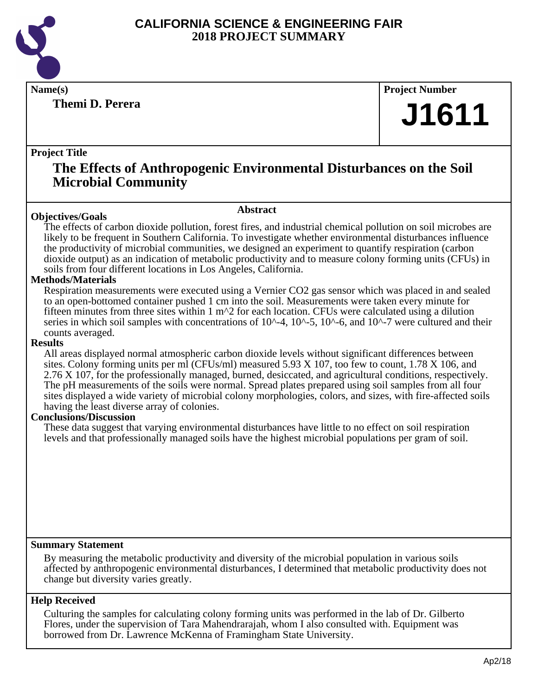

**Themi D. Perera**

**Name(s) Project Number**

## **J1611**

#### **Project Title**

### **The Effects of Anthropogenic Environmental Disturbances on the Soil Microbial Community**

#### **Abstract**

**Objectives/Goals** The effects of carbon dioxide pollution, forest fires, and industrial chemical pollution on soil microbes are likely to be frequent in Southern California. To investigate whether environmental disturbances influence the productivity of microbial communities, we designed an experiment to quantify respiration (carbon dioxide output) as an indication of metabolic productivity and to measure colony forming units (CFUs) in soils from four different locations in Los Angeles, California.

#### **Methods/Materials**

Respiration measurements were executed using a Vernier CO2 gas sensor which was placed in and sealed to an open-bottomed container pushed 1 cm into the soil. Measurements were taken every minute for fifteen minutes from three sites within  $1 \text{ m}^2$  for each location. CFUs were calculated using a dilution series in which soil samples with concentrations of  $10^{\wedge}$ -4,  $10^{\wedge}$ -5,  $10^{\wedge}$ -6, and  $10^{\wedge}$ -7 were cultured and their counts averaged.

#### **Results**

All areas displayed normal atmospheric carbon dioxide levels without significant differences between sites. Colony forming units per ml (CFUs/ml) measured 5.93 X 107, too few to count, 1.78 X 106, and 2.76 X 107, for the professionally managed, burned, desiccated, and agricultural conditions, respectively. The pH measurements of the soils were normal. Spread plates prepared using soil samples from all four sites displayed a wide variety of microbial colony morphologies, colors, and sizes, with fire-affected soils having the least diverse array of colonies.

#### **Conclusions/Discussion**

These data suggest that varying environmental disturbances have little to no effect on soil respiration levels and that professionally managed soils have the highest microbial populations per gram of soil.

#### **Summary Statement**

By measuring the metabolic productivity and diversity of the microbial population in various soils affected by anthropogenic environmental disturbances, I determined that metabolic productivity does not change but diversity varies greatly.

#### **Help Received**

Culturing the samples for calculating colony forming units was performed in the lab of Dr. Gilberto Flores, under the supervision of Tara Mahendrarajah, whom I also consulted with. Equipment was borrowed from Dr. Lawrence McKenna of Framingham State University.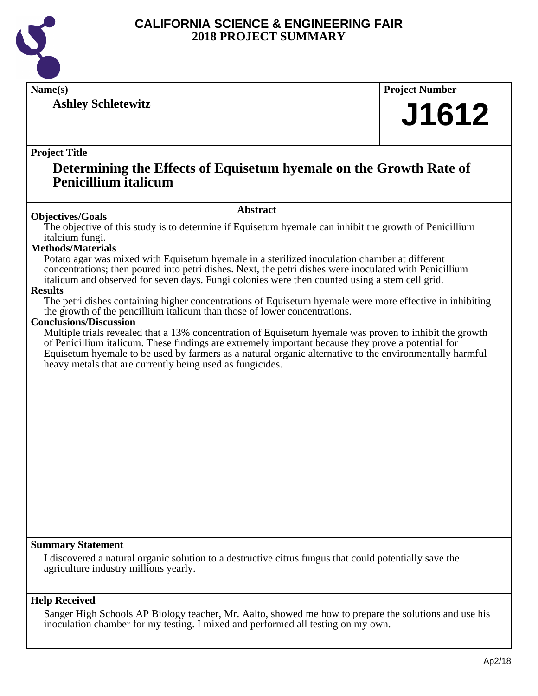

**Ashley Schletewitz**

**Name(s) Project Number**

## **J1612**

#### **Project Title**

### **Determining the Effects of Equisetum hyemale on the Growth Rate of Penicillium italicum**

#### **Abstract**

**Objectives/Goals** The objective of this study is to determine if Equisetum hyemale can inhibit the growth of Penicillium italcium fungi.

#### **Methods/Materials**

Potato agar was mixed with Equisetum hyemale in a sterilized inoculation chamber at different concentrations; then poured into petri dishes. Next, the petri dishes were inoculated with Penicillium italicum and observed for seven days. Fungi colonies were then counted using a stem cell grid.

#### **Results**

The petri dishes containing higher concentrations of Equisetum hyemale were more effective in inhibiting the growth of the pencillium italicum than those of lower concentrations.

#### **Conclusions/Discussion**

Multiple trials revealed that a 13% concentration of Equisetum hyemale was proven to inhibit the growth of Penicillium italicum. These findings are extremely important because they prove a potential for Equisetum hyemale to be used by farmers as a natural organic alternative to the environmentally harmful heavy metals that are currently being used as fungicides.

#### **Summary Statement**

I discovered a natural organic solution to a destructive citrus fungus that could potentially save the agriculture industry millions yearly.

#### **Help Received**

Sanger High Schools AP Biology teacher, Mr. Aalto, showed me how to prepare the solutions and use his inoculation chamber for my testing. I mixed and performed all testing on my own.